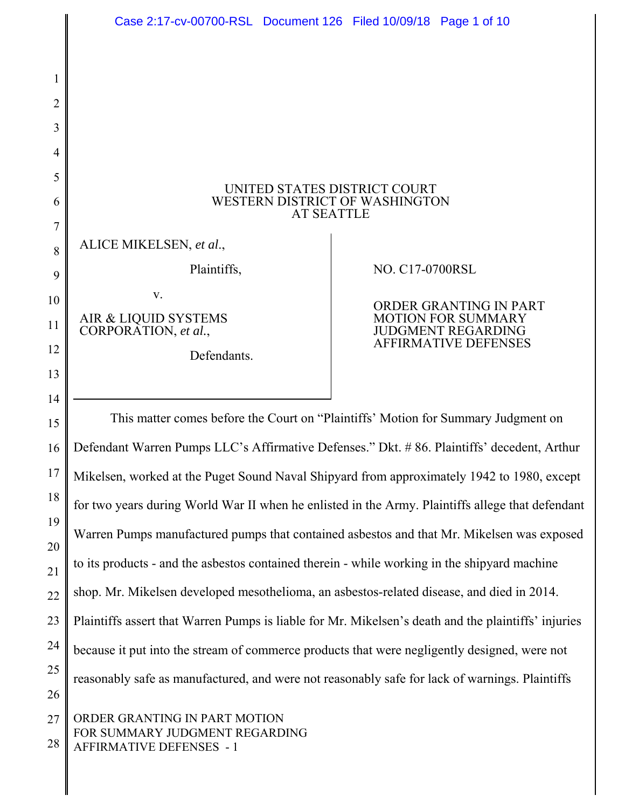|          | Case 2:17-cv-00700-RSL Document 126 Filed 10/09/18 Page 1 of 10                                     |                                                        |
|----------|-----------------------------------------------------------------------------------------------------|--------------------------------------------------------|
| 1        |                                                                                                     |                                                        |
| 2        |                                                                                                     |                                                        |
| 3        |                                                                                                     |                                                        |
| 4        |                                                                                                     |                                                        |
| 5        |                                                                                                     |                                                        |
| 6        | UNITED STATES DISTRICT COURT<br>WESTERN DISTRICT OF WASHINGTON<br><b>AT SEATTLE</b>                 |                                                        |
| 7        |                                                                                                     |                                                        |
| 8        | ALICE MIKELSEN, et al.,                                                                             |                                                        |
| 9        | Plaintiffs,                                                                                         | NO. C17-0700RSL                                        |
| 10       | V.                                                                                                  | ORDER GRANTING IN PART                                 |
| 11       | AIR & LIQUID SYSTEMS<br>CORPORATION, et al.,                                                        | <b>MOTION FOR SUMMARY</b><br><b>JUDGMENT REGARDING</b> |
| 12       | Defendants.                                                                                         | <b>AFFIRMATIVE DEFENSES</b>                            |
| 13       |                                                                                                     |                                                        |
| 14       |                                                                                                     |                                                        |
| 15       | This matter comes before the Court on "Plaintiffs' Motion for Summary Judgment on                   |                                                        |
| 16       | Defendant Warren Pumps LLC's Affirmative Defenses." Dkt. #86. Plaintiffs' decedent, Arthur          |                                                        |
| 17       | Mikelsen, worked at the Puget Sound Naval Shipyard from approximately 1942 to 1980, except          |                                                        |
| 18       | for two years during World War II when he enlisted in the Army. Plaintiffs allege that defendant    |                                                        |
| 19<br>20 | Warren Pumps manufactured pumps that contained asbestos and that Mr. Mikelsen was exposed           |                                                        |
| 21       | to its products - and the asbestos contained therein - while working in the shipyard machine        |                                                        |
| 22       | shop. Mr. Mikelsen developed mesothelioma, an asbestos-related disease, and died in 2014.           |                                                        |
| 23       | Plaintiffs assert that Warren Pumps is liable for Mr. Mikelsen's death and the plaintiffs' injuries |                                                        |
| 24       | because it put into the stream of commerce products that were negligently designed, were not        |                                                        |
| 25       | reasonably safe as manufactured, and were not reasonably safe for lack of warnings. Plaintiffs      |                                                        |
| 26       |                                                                                                     |                                                        |
| 27       | ORDER GRANTING IN PART MOTION<br>FOR SUMMARY JUDGMENT REGARDING                                     |                                                        |
| 28       | <b>AFFIRMATIVE DEFENSES - 1</b>                                                                     |                                                        |
|          |                                                                                                     |                                                        |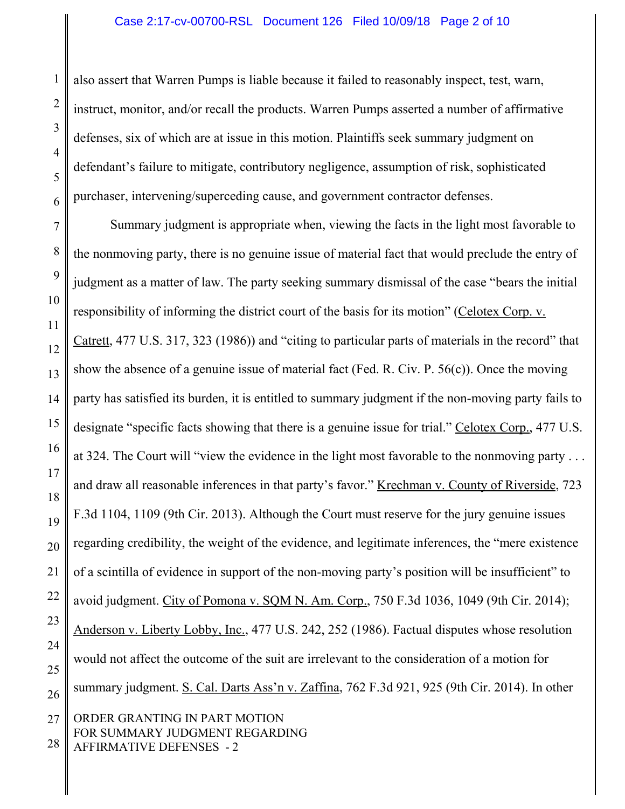also assert that Warren Pumps is liable because it failed to reasonably inspect, test, warn, instruct, monitor, and/or recall the products. Warren Pumps asserted a number of affirmative defenses, six of which are at issue in this motion. Plaintiffs seek summary judgment on defendant's failure to mitigate, contributory negligence, assumption of risk, sophisticated purchaser, intervening/superceding cause, and government contractor defenses.

7 8 9 10 11 12 13 14 15 16 17 18 19 20 21 22 23 24 25 26 27 Summary judgment is appropriate when, viewing the facts in the light most favorable to the nonmoving party, there is no genuine issue of material fact that would preclude the entry of judgment as a matter of law. The party seeking summary dismissal of the case "bears the initial responsibility of informing the district court of the basis for its motion" (Celotex Corp. v. Catrett, 477 U.S. 317, 323 (1986)) and "citing to particular parts of materials in the record" that show the absence of a genuine issue of material fact (Fed. R. Civ. P. 56(c)). Once the moving party has satisfied its burden, it is entitled to summary judgment if the non-moving party fails to designate "specific facts showing that there is a genuine issue for trial." Celotex Corp., 477 U.S. at 324. The Court will "view the evidence in the light most favorable to the nonmoving party ... and draw all reasonable inferences in that party's favor." Krechman v. County of Riverside, 723 F.3d 1104, 1109 (9th Cir. 2013). Although the Court must reserve for the jury genuine issues regarding credibility, the weight of the evidence, and legitimate inferences, the "mere existence of a scintilla of evidence in support of the non-moving party's position will be insufficient" to avoid judgment. City of Pomona v. SQM N. Am. Corp., 750 F.3d 1036, 1049 (9th Cir. 2014); Anderson v. Liberty Lobby, Inc., 477 U.S. 242, 252 (1986). Factual disputes whose resolution would not affect the outcome of the suit are irrelevant to the consideration of a motion for summary judgment. S. Cal. Darts Ass'n v. Zaffina, 762 F.3d 921, 925 (9th Cir. 2014). In other ORDER GRANTING IN PART MOTION FOR SUMMARY JUDGMENT REGARDING

28 AFFIRMATIVE DEFENSES - 2

1

2

3

4

5

6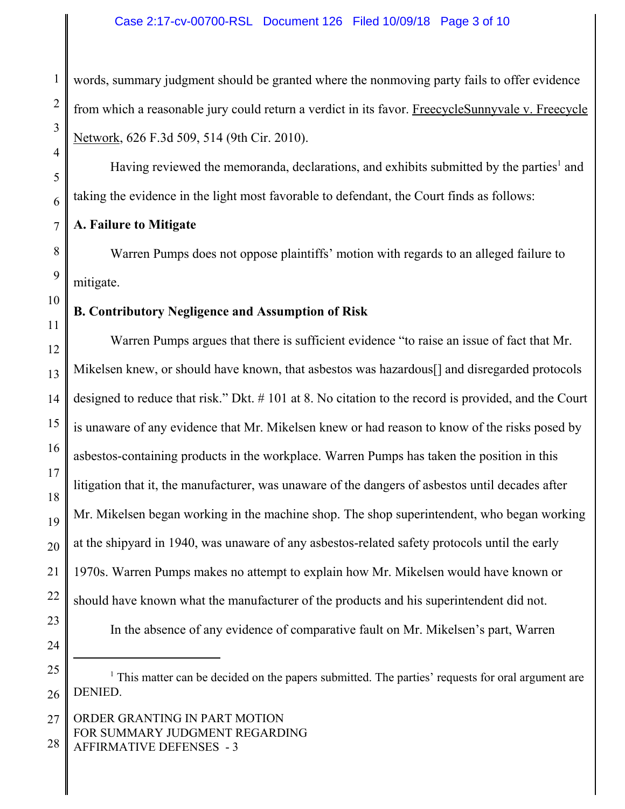words, summary judgment should be granted where the nonmoving party fails to offer evidence from which a reasonable jury could return a verdict in its favor. FreecycleSunnyvale v. Freecycle Network, 626 F.3d 509, 514 (9th Cir. 2010).

Having reviewed the memoranda, declarations, and exhibits submitted by the parties<sup>1</sup> and taking the evidence in the light most favorable to defendant, the Court finds as follows:

# **A. Failure to Mitigate**

Warren Pumps does not oppose plaintiffs' motion with regards to an alleged failure to mitigate.

# **B. Contributory Negligence and Assumption of Risk**

Warren Pumps argues that there is sufficient evidence "to raise an issue of fact that Mr. Mikelsen knew, or should have known, that asbestos was hazardous[] and disregarded protocols designed to reduce that risk." Dkt. # 101 at 8. No citation to the record is provided, and the Court is unaware of any evidence that Mr. Mikelsen knew or had reason to know of the risks posed by asbestos-containing products in the workplace. Warren Pumps has taken the position in this litigation that it, the manufacturer, was unaware of the dangers of asbestos until decades after Mr. Mikelsen began working in the machine shop. The shop superintendent, who began working at the shipyard in 1940, was unaware of any asbestos-related safety protocols until the early 1970s. Warren Pumps makes no attempt to explain how Mr. Mikelsen would have known or should have known what the manufacturer of the products and his superintendent did not. In the absence of any evidence of comparative fault on Mr. Mikelsen's part, Warren

1

<sup>&</sup>lt;sup>1</sup> This matter can be decided on the papers submitted. The parties' requests for oral argument are DENIED.

ORDER GRANTING IN PART MOTION FOR SUMMARY JUDGMENT REGARDING AFFIRMATIVE DEFENSES - 3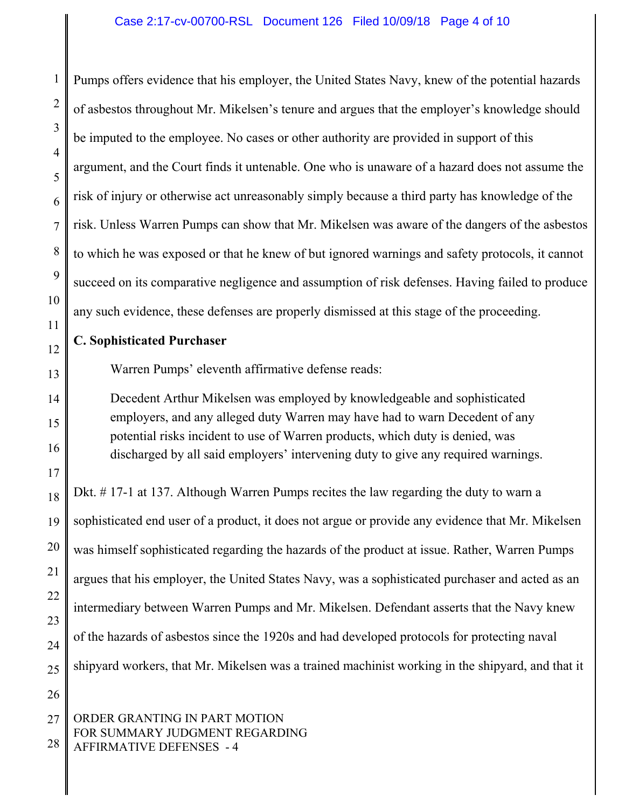1 2 Pumps offers evidence that his employer, the United States Navy, knew of the potential hazards of asbestos throughout Mr. Mikelsen's tenure and argues that the employer's knowledge should be imputed to the employee. No cases or other authority are provided in support of this argument, and the Court finds it untenable. One who is unaware of a hazard does not assume the risk of injury or otherwise act unreasonably simply because a third party has knowledge of the risk. Unless Warren Pumps can show that Mr. Mikelsen was aware of the dangers of the asbestos to which he was exposed or that he knew of but ignored warnings and safety protocols, it cannot succeed on its comparative negligence and assumption of risk defenses. Having failed to produce any such evidence, these defenses are properly dismissed at this stage of the proceeding.

## **C. Sophisticated Purchaser**

Warren Pumps' eleventh affirmative defense reads:

Decedent Arthur Mikelsen was employed by knowledgeable and sophisticated employers, and any alleged duty Warren may have had to warn Decedent of any potential risks incident to use of Warren products, which duty is denied, was discharged by all said employers' intervening duty to give any required warnings.

Dkt. # 17-1 at 137. Although Warren Pumps recites the law regarding the duty to warn a sophisticated end user of a product, it does not argue or provide any evidence that Mr. Mikelsen was himself sophisticated regarding the hazards of the product at issue. Rather, Warren Pumps argues that his employer, the United States Navy, was a sophisticated purchaser and acted as an intermediary between Warren Pumps and Mr. Mikelsen. Defendant asserts that the Navy knew of the hazards of asbestos since the 1920s and had developed protocols for protecting naval shipyard workers, that Mr. Mikelsen was a trained machinist working in the shipyard, and that it

#### 27 28 ORDER GRANTING IN PART MOTION FOR SUMMARY JUDGMENT REGARDING AFFIRMATIVE DEFENSES - 4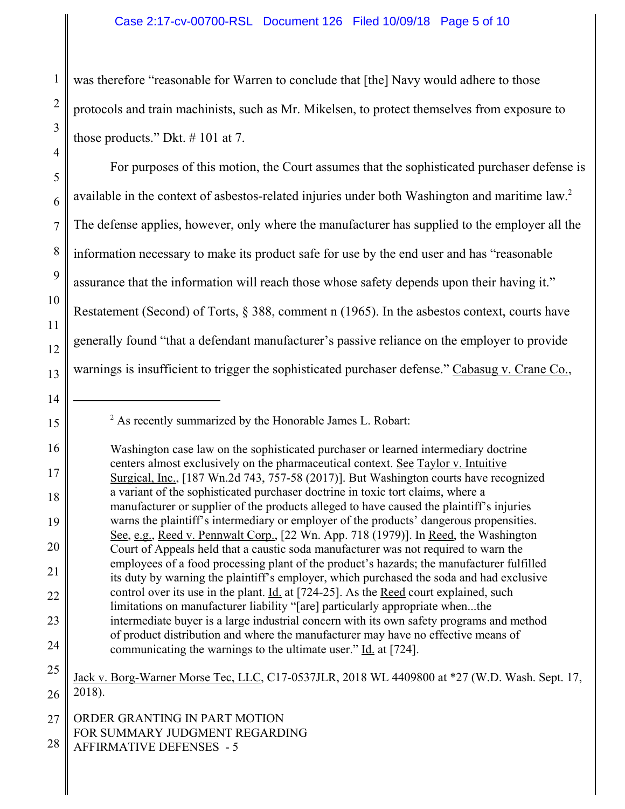was therefore "reasonable for Warren to conclude that [the] Navy would adhere to those protocols and train machinists, such as Mr. Mikelsen, to protect themselves from exposure to those products." Dkt. # 101 at 7.

5 6 7 8 9 10 11 12 13 For purposes of this motion, the Court assumes that the sophisticated purchaser defense is available in the context of asbestos-related injuries under both Washington and maritime law.<sup>2</sup> The defense applies, however, only where the manufacturer has supplied to the employer all the information necessary to make its product safe for use by the end user and has "reasonable assurance that the information will reach those whose safety depends upon their having it." Restatement (Second) of Torts, § 388, comment n (1965). In the asbestos context, courts have generally found "that a defendant manufacturer's passive reliance on the employer to provide warnings is insufficient to trigger the sophisticated purchaser defense." Cabasug v. Crane Co.,

15

1

2

3

4

25 26 Jack v. Borg-Warner Morse Tec, LLC, C17-0537JLR, 2018 WL 4409800 at \*27 (W.D. Wash. Sept. 17, 2018).

<sup>14</sup>

 $2^{2}$  As recently summarized by the Honorable James L. Robart:

<sup>16</sup> 17 18 19 20 21 22 23 24 Washington case law on the sophisticated purchaser or learned intermediary doctrine centers almost exclusively on the pharmaceutical context. See Taylor v. Intuitive Surgical, Inc., [187 Wn.2d 743, 757-58 (2017)]. But Washington courts have recognized a variant of the sophisticated purchaser doctrine in toxic tort claims, where a manufacturer or supplier of the products alleged to have caused the plaintiff's injuries warns the plaintiff's intermediary or employer of the products' dangerous propensities. See, e.g., Reed v. Pennwalt Corp., [22 Wn. App. 718 (1979)]. In Reed, the Washington Court of Appeals held that a caustic soda manufacturer was not required to warn the employees of a food processing plant of the product's hazards; the manufacturer fulfilled its duty by warning the plaintiff's employer, which purchased the soda and had exclusive control over its use in the plant. Id. at [724-25]. As the Reed court explained, such limitations on manufacturer liability "[are] particularly appropriate when...the intermediate buyer is a large industrial concern with its own safety programs and method of product distribution and where the manufacturer may have no effective means of communicating the warnings to the ultimate user." Id. at [724].

<sup>27</sup> ORDER GRANTING IN PART MOTION FOR SUMMARY JUDGMENT REGARDING

<sup>28</sup> AFFIRMATIVE DEFENSES - 5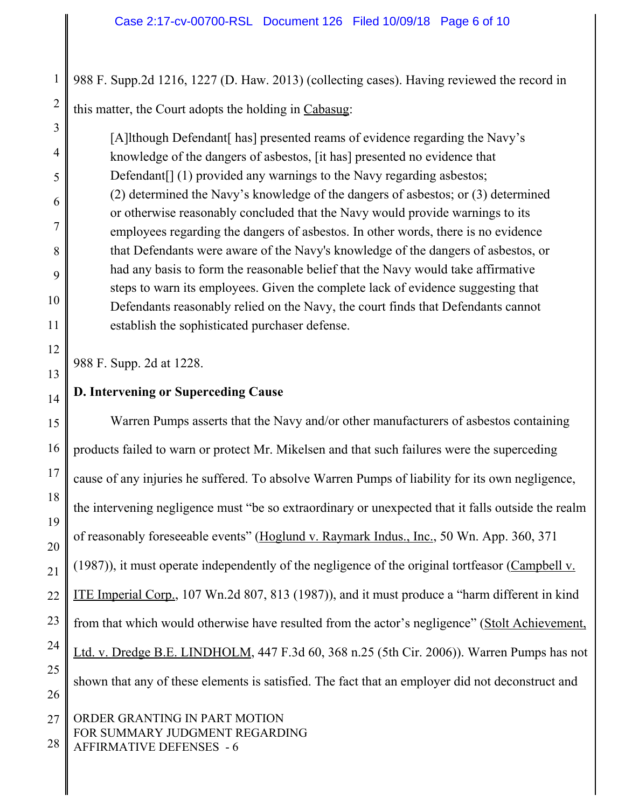1 2 988 F. Supp.2d 1216, 1227 (D. Haw. 2013) (collecting cases). Having reviewed the record in this matter, the Court adopts the holding in Cabasug:

[A]lthough Defendant[ has] presented reams of evidence regarding the Navy's knowledge of the dangers of asbestos, [it has] presented no evidence that Defendant<sup>[]</sup> (1) provided any warnings to the Navy regarding asbestos; (2) determined the Navy's knowledge of the dangers of asbestos; or (3) determined or otherwise reasonably concluded that the Navy would provide warnings to its employees regarding the dangers of asbestos. In other words, there is no evidence that Defendants were aware of the Navy's knowledge of the dangers of asbestos, or had any basis to form the reasonable belief that the Navy would take affirmative steps to warn its employees. Given the complete lack of evidence suggesting that Defendants reasonably relied on the Navy, the court finds that Defendants cannot establish the sophisticated purchaser defense.

988 F. Supp. 2d at 1228.

3

4

5

6

7

8

9

10

11

12

13

14

# **D. Intervening or Superceding Cause**

15 16 17 18 19 20 21 22 23 24 25 26 Warren Pumps asserts that the Navy and/or other manufacturers of asbestos containing products failed to warn or protect Mr. Mikelsen and that such failures were the superceding cause of any injuries he suffered. To absolve Warren Pumps of liability for its own negligence, the intervening negligence must "be so extraordinary or unexpected that it falls outside the realm of reasonably foreseeable events" (Hoglund v. Raymark Indus., Inc., 50 Wn. App. 360, 371 (1987)), it must operate independently of the negligence of the original tortfeasor (Campbell  $v$ . ITE Imperial Corp., 107 Wn.2d 807, 813 (1987)), and it must produce a "harm different in kind from that which would otherwise have resulted from the actor's negligence" (Stolt Achievement, Ltd. v. Dredge B.E. LINDHOLM, 447 F.3d 60, 368 n.25 (5th Cir. 2006)). Warren Pumps has not shown that any of these elements is satisfied. The fact that an employer did not deconstruct and

27 28 ORDER GRANTING IN PART MOTION FOR SUMMARY JUDGMENT REGARDING AFFIRMATIVE DEFENSES - 6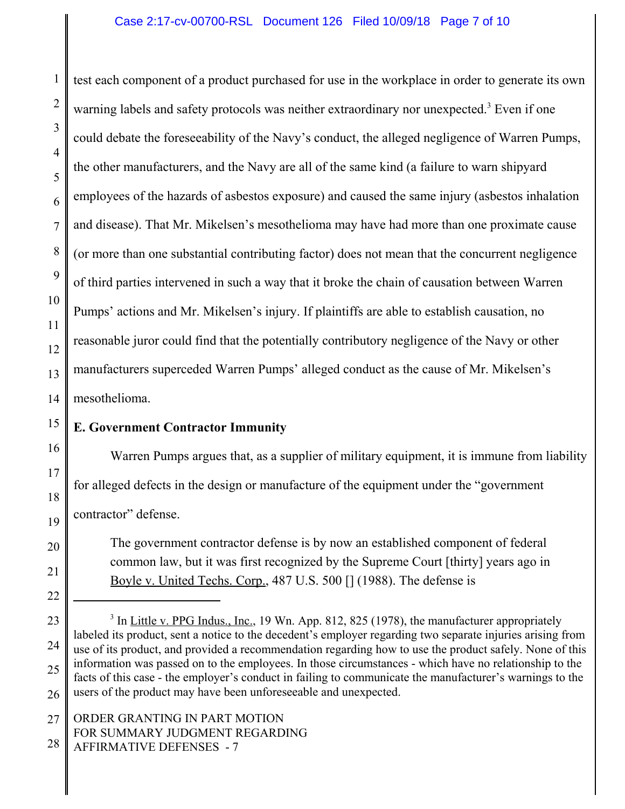1 2 3 4 5 6 7 8 9 10 11 12 13 14 test each component of a product purchased for use in the workplace in order to generate its own warning labels and safety protocols was neither extraordinary nor unexpected.<sup>3</sup> Even if one could debate the foreseeability of the Navy's conduct, the alleged negligence of Warren Pumps, the other manufacturers, and the Navy are all of the same kind (a failure to warn shipyard employees of the hazards of asbestos exposure) and caused the same injury (asbestos inhalation and disease). That Mr. Mikelsen's mesothelioma may have had more than one proximate cause (or more than one substantial contributing factor) does not mean that the concurrent negligence of third parties intervened in such a way that it broke the chain of causation between Warren Pumps' actions and Mr. Mikelsen's injury. If plaintiffs are able to establish causation, no reasonable juror could find that the potentially contributory negligence of the Navy or other manufacturers superceded Warren Pumps' alleged conduct as the cause of Mr. Mikelsen's mesothelioma.

### 15 **E. Government Contractor Immunity**

Warren Pumps argues that, as a supplier of military equipment, it is immune from liability for alleged defects in the design or manufacture of the equipment under the "government contractor" defense.

The government contractor defense is by now an established component of federal common law, but it was first recognized by the Supreme Court [thirty] years ago in Boyle v. United Techs. Corp., 487 U.S. 500 [] (1988). The defense is

16

17

18

19

20

21

AFFIRMATIVE DEFENSES - 7

<sup>22</sup>

<sup>23</sup> 24 25 26 <sup>3</sup> In Little v. PPG Indus., Inc., 19 Wn. App. 812, 825 (1978), the manufacturer appropriately labeled its product, sent a notice to the decedent's employer regarding two separate injuries arising from use of its product, and provided a recommendation regarding how to use the product safely. None of this information was passed on to the employees. In those circumstances - which have no relationship to the facts of this case - the employer's conduct in failing to communicate the manufacturer's warnings to the users of the product may have been unforeseeable and unexpected.

<sup>27</sup> 28 ORDER GRANTING IN PART MOTION FOR SUMMARY JUDGMENT REGARDING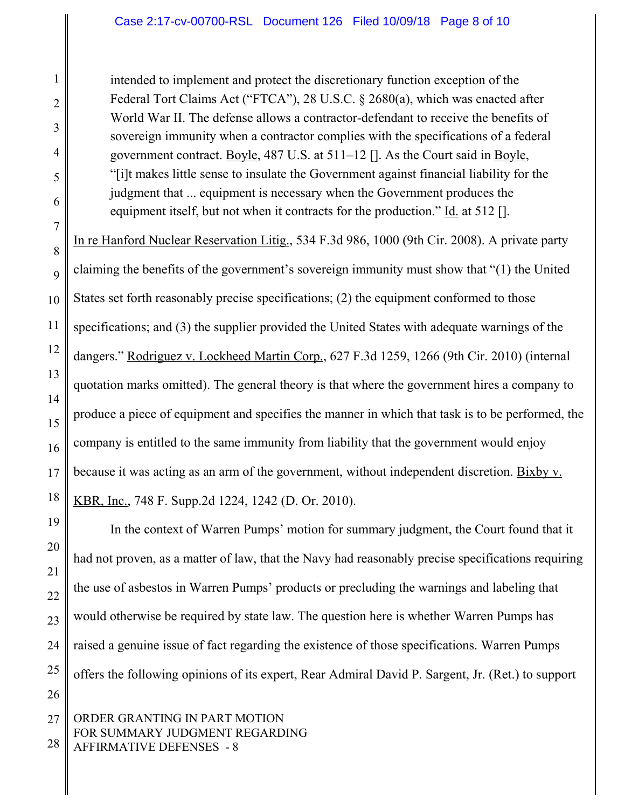## Case 2:17-cv-00700-RSL Document 126 Filed 10/09/18 Page 8 of 10

intended to implement and protect the discretionary function exception of the Federal Tort Claims Act ("FTCA"), 28 U.S.C. § 2680(a), which was enacted after World War II. The defense allows a contractor-defendant to receive the benefits of sovereign immunity when a contractor complies with the specifications of a federal government contract. Boyle, 487 U.S. at 511–12 []. As the Court said in Boyle, "[i]t makes little sense to insulate the Government against financial liability for the judgment that ... equipment is necessary when the Government produces the equipment itself, but not when it contracts for the production."  $\underline{Id}$  at 512 [].

In re Hanford Nuclear Reservation Litig., 534 F.3d 986, 1000 (9th Cir. 2008). A private party claiming the benefits of the government's sovereign immunity must show that "(1) the United States set forth reasonably precise specifications; (2) the equipment conformed to those specifications; and (3) the supplier provided the United States with adequate warnings of the dangers." Rodriguez v. Lockheed Martin Corp., 627 F.3d 1259, 1266 (9th Cir. 2010) (internal quotation marks omitted). The general theory is that where the government hires a company to produce a piece of equipment and specifies the manner in which that task is to be performed, the company is entitled to the same immunity from liability that the government would enjoy because it was acting as an arm of the government, without independent discretion. Bixby v. KBR, Inc., 748 F. Supp.2d 1224, 1242 (D. Or. 2010).

In the context of Warren Pumps' motion for summary judgment, the Court found that it had not proven, as a matter of law, that the Navy had reasonably precise specifications requiring the use of asbestos in Warren Pumps' products or precluding the warnings and labeling that would otherwise be required by state law. The question here is whether Warren Pumps has raised a genuine issue of fact regarding the existence of those specifications. Warren Pumps offers the following opinions of its expert, Rear Admiral David P. Sargent, Jr. (Ret.) to support

### 27 28 ORDER GRANTING IN PART MOTION FOR SUMMARY JUDGMENT REGARDING AFFIRMATIVE DEFENSES - 8

1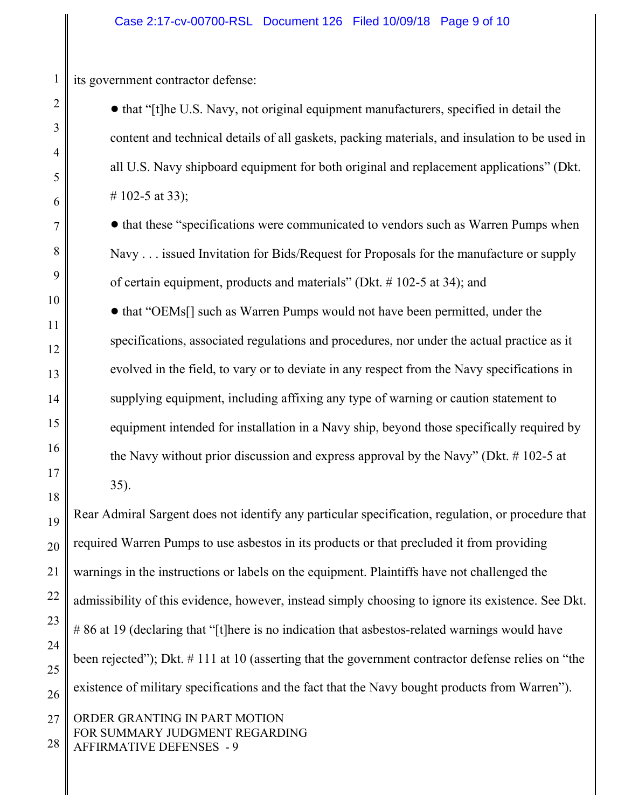its government contractor defense:

1

2

3

4

5

6

7

8

9

10

11

12

13

14

15

16

17

18

• that "[t]he U.S. Navy, not original equipment manufacturers, specified in detail the content and technical details of all gaskets, packing materials, and insulation to be used in all U.S. Navy shipboard equipment for both original and replacement applications" (Dkt. # 102-5 at 33);

• that these "specifications were communicated to vendors such as Warren Pumps when Navy . . . issued Invitation for Bids/Request for Proposals for the manufacture or supply of certain equipment, products and materials" (Dkt. # 102-5 at 34); and

• that "OEMs<sup>[]</sup> such as Warren Pumps would not have been permitted, under the specifications, associated regulations and procedures, nor under the actual practice as it evolved in the field, to vary or to deviate in any respect from the Navy specifications in supplying equipment, including affixing any type of warning or caution statement to equipment intended for installation in a Navy ship, beyond those specifically required by the Navy without prior discussion and express approval by the Navy" (Dkt. # 102-5 at 35).

19 20 21 22 23 24 25 26 Rear Admiral Sargent does not identify any particular specification, regulation, or procedure that required Warren Pumps to use asbestos in its products or that precluded it from providing warnings in the instructions or labels on the equipment. Plaintiffs have not challenged the admissibility of this evidence, however, instead simply choosing to ignore its existence. See Dkt. #86 at 19 (declaring that "[t]here is no indication that asbestos-related warnings would have been rejected"); Dkt. # 111 at 10 (asserting that the government contractor defense relies on "the existence of military specifications and the fact that the Navy bought products from Warren").

27 28 ORDER GRANTING IN PART MOTION FOR SUMMARY JUDGMENT REGARDING AFFIRMATIVE DEFENSES - 9